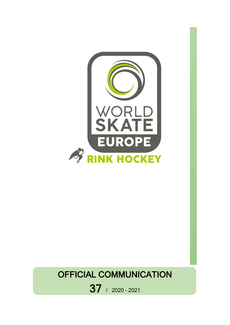

# OFFICIAL COMMUNICATION

37 / 2020 – <sup>2021</sup>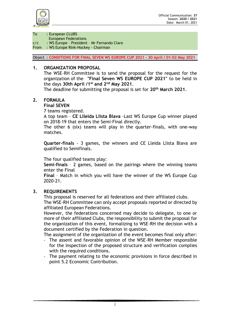

To : European CLUBS

European Federations

c/c : WS Europe – President – Mr Fernando Claro

From : WS Europe Rink-Hockey - Chairman

Object : **CONDITIONS FOR FINAL SEVEN WS EUROPE CUP 2021 - 30 April / 01-02 May 2021**

#### **1. ORGANIZATION PROPOSAL**

The WSE-RH Committee is to send the proposal for the request for the organization of the **"Final Seven WS EUROPE CUP 2021"** to be held in the days **30th April /1st and 2nd May 2021**.

The deadline for submitting the proposal is set for **20th March 2021.**

#### **2. FORMULA**

**Final SEVEN**

7 teams registered.

A top team – **CE Llleida Llista Blava** -Last WS Europe Cup winner played on 2018-19 that enters the Semi-Final directly.

The other 6 (six) teams will play in the quarter-finals, with one-way matches.

**Quarter-finals** - 3 games, the winners and CE Lleida Llista Blava are qualified to Semifinals.

The four qualified teams play:

**Semi-finals** – 2 games, based on the pairings where the winning teams enter the Final

**Final** – Match in which you will have the winner of the WS Europe Cup 2020-21.

#### **3. REQUIREMENTS**

This proposal is reserved for all federations and their affiliated clubs.

The WSE-RH Committee can only accept proposals reported or directed by affiliated European Federations.

However, the federations concerned may decide to delegate, to one or more of their affiliated Clubs, the responsibility to submit the proposal for the organization of this event, formalizing to WSE-RH the decision with a document certified by the Federation in question.

The assignment of the organization of the event becomes final only after:

- The assent and favorable opinion of the WSE-RH Member responsible for the inspection of the proposed structure and verification complies with the required conditions.
- The payment relating to the economic provisions in force described in point 5.2 Economic Contribution.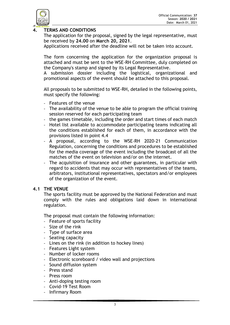

# **4. TERMS AND CONDITIONS**

The application for the proposal, signed by the legal representative, must be received by **24.00** on **March 20, 2021**.

Applications received after the deadline will not be taken into account.

The form concerning the application for the organization proposal is attached and must be sent to the WSE-RH Committee, duly completed on the Company's stamp and signed by its Legal Representative.

A submission dossier including the logistical, organizational and promotional aspects of the event should be attached to this proposal.

All proposals to be submitted to WSE-RH, detailed in the following points, must specify the following:

- Features of the venue
- The availability of the venue to be able to program the official training session reserved for each participating team
- the games timetable, including the order and start times of each match
- Hotel list available to accommodate participating teams indicating all the conditions established for each of them, in accordance with the provisions listed in point 4.4
- A proposal, according to the WSE-RH 2020-21 Communication Regulation, concerning the conditions and procedures to be established for the media coverage of the event including the broadcast of all the matches of the event on television and/or on the internet.
- The acquisition of insurance and other guarantees, in particular with regard to accidents that may occur with representatives of the teams, arbitrators, institutional representatives, spectators and/or employees of the organization of the event.

## **4.1 THE VENUE**

The sports facility must be approved by the National Federation and must comply with the rules and obligations laid down in international regulation.

The proposal must contain the following information:

- Feature of sports facility
- Size of the rink
- Type of surface area
- Seating capacity
- Lines on the rink (in addition to hockey lines)
- Features Light system
- Number of locker rooms
- Electronic scoreboard / video wall and projections
- Sound diffusion system
- Press stand
- Press room
- Anti-doping testing room
- Covid-19 Test Room
- Infirmary Room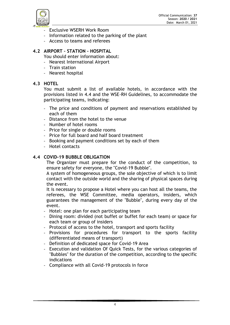

- Exclusive WSERH Work Room
- Information related to the parking of the plant
- Access to teams and referees

# **4.2 AIRPORT – STATION – HOSPITAL**

You should enter information about:

- Nearest International Airport
- Train station
- Nearest hospital

## **4.3 HOTEL**

You must submit a list of available hotels, in accordance with the provisions listed in 4.4 and the WSE-RH Guidelines, to accommodate the participating teams, indicating:

- The price and conditions of payment and reservations established by each of them
- Distance from the hotel to the venue
- Number of hotel rooms
- Price for single or double rooms
- Price for full board and half board treatment
- Booking and payment conditions set by each of them
- Hotel contacts

#### **4.4 COVID-19 BUBBLE OBLIGATION**

The Organizer must prepare for the conduct of the competition, to ensure safety for everyone, the "Covid-19 Bubble".

A system of homogeneous groups, the sole objective of which is to limit contact with the outside world and the sharing of physical spaces during the event.

It is necessary to propose a Hotel where you can host all the teams, the referees, the WSE Committee, media operators, insiders, which guarantees the management of the "Bubble", during every day of the event.

- Hotel: one plan for each participating team
- Dining room: divided (not buffet or buffet for each team) or space for each team or group of insiders
- Protocol of access to the hotel, transport and sports facility
- Provisions for procedures for transport to the sports facility (differentiated means of transport)
- Definition of dedicated space for Covid-19 Area
- Execution and validation Of Quick Tests, for the various categories of "Bubbles" for the duration of the competition, according to the specific indications
- Compliance with all Covid-19 protocols in force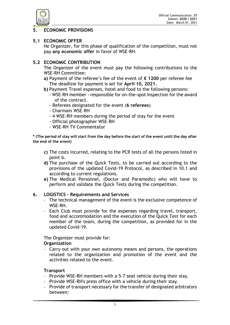

# **5. ECONOMIC PROVISIONS**

#### **5.1 ECONOMIC OFFER**

He Organizer, for this phase of qualification of the competition, must not pay **any economic offer** in favor of WSE-RH.

#### **5.2 ECONOMIC CONTRIBUTION**

The Organizer of the event must pay the following contributions to the WSE-RH Committee:

- **a)** Payment of the referee's fee of the event of **€ 1200** per referee fee The deadline for payment is set for **April 10, 2021.**
- **b)** Payment Travel expenses, hotel and food to the following persons:
	- WSE-RH member responsible for on-the-spot inspection for the award of the contract.
	- Referees designated for the event (**6 referees**)
	- Charmain WSE-RH
	- 4 WSE-RH members during the period of stay for the event
	- Official photographer WSE-RH
	- WSE-RH TV Commentator

**\* (The period of stay will start from the day before the start of the event until the day after the end of the event)**

- **c)** The costs incurred, relating to the PCR tests of all the persons listed in point b.
- **d)** The purchase of the Quick Tests, to be carried out according to the provisions of the updated Covid-19 Protocol, as described in 10.1 and according to current regulations.
- **e)** The Medical Personnel, (Doctor and Paramedic) who will have to perform and validate the Quick Tests during the competition.

## **6. LOGISTICS – Requirements and Services**

- The technical management of the event is the exclusive competence of WSE-RH.
- Each Club must provide for the expenses regarding travel, transport, food and accommodation and the execution of the Quick Test for each member of the team, during the competition, as provided for in the updated Covid-19.

The Organizer must provide for: **Organization**

- Carry out with your own autonomy means and persons, the operations related to the organization and promotion of the event and the activities related to the event.

#### **Transport**

- Provide WSE-RH members with a 5-7 seat vehicle during their stay.
- Provide WSE-RH's press office with a vehicle during their stay.
- Provide of transport necessary for the transfer of designated arbitrators between: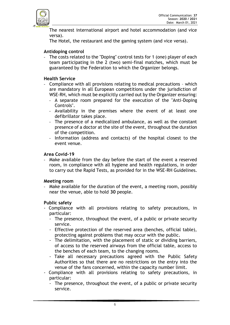

The nearest international airport and hotel accommodation (and vice versa).

The Hotel, the restaurant and the gaming system (and vice versa).

#### **Antidoping control**

- The costs related to the "Doping" control tests for 1 (one) player of each team participating in the 2 (two) semi-final matches, which must be guaranteed by the Federation to which the Organizer belongs.

#### **Health Service**

- Compliance with all provisions relating to medical precautions which are mandatory in all European competitions under the jurisdiction of WSE-RH, which must be explicitly carried out by the Organizer ensuring:
	- A separate room prepared for the execution of the "Anti-Doping Controls".
	- Availability in the premises where the event of at least one defibrillator takes place.
	- The presence of a medicalized ambulance, as well as the constant presence of a doctor at the site of the event, throughout the duration of the competition.
	- Information (address and contacts) of the hospital closest to the event venue.

#### **Area Covid-19**

Make available from the day before the start of the event a reserved room, in compliance with all hygiene and health regulations, in order to carry out the Rapid Tests, as provided for in the WSE-RH Guidelines.

#### **Meeting room**

- Make available for the duration of the event, a meeting room, possibly near the venue, able to hold **30** people.

#### **Public safety**

- Compliance with all provisions relating to safety precautions, in particular:
	- The presence, throughout the event, of a public or private security service.
	- Effective protection of the reserved area (benches, official table), protecting against problems that may occur with the public.
	- The delimitation, with the placement of static or dividing barriers, of access to the reserved airways from the official table, access to the benches of each team, to the changing rooms.
	- Take all necessary precautions agreed with the Public Safety Authorities so that there are no restrictions on the entry into the venue of the fans concerned, within the capacity number limit.
- Compliance with all provisions relating to safety precautions, in particular:
	- The presence, throughout the event, of a public or private security service.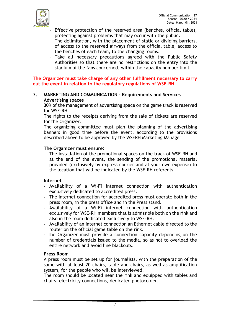

- Effective protection of the reserved area (benches, official table), protecting against problems that may occur with the public.
- The delimitation, with the placement of static or dividing barriers, of access to the reserved airways from the official table, access to the benches of each team, to the changing rooms.
- Take all necessary precautions agreed with the Public Safety Authorities so that there are no restrictions on the entry into the stadium of the fans concerned, within the capacity number limit.

**The Organizer must take charge of any other fulfillment necessary to carry out the event in relation to the regulatory regulations of WSE-RH.**

#### **7. MARKETING AND COMMUNICATION – Requirements and Services Advertising spaces**

30% of the management of advertising space on the game track is reserved for WSE-RH.

The rights to the receipts deriving from the sale of tickets are reserved for the Organizer.

The organizing committee must plan the planning of the advertising banners in good time before the event, according to the provisions described above to be approved by the WSERH Marketing Manager.

## **The Organizer must ensure:**

- The installation of the promotional spaces on the track of WSE-RH and at the end of the event, the sending of the promotional material provided (exclusively by express courier and at your own expense) to the location that will be indicated by the WSE-RH referents.

## **Internet**

- Availability of a Wi-Fi internet connection with authentication exclusively dedicated to accredited press.
- The internet connection for accredited press must operate both in the press room, in the press office and in the Press stand.
- Availability of a Wi-Fi internet connection with authentication exclusively for WSE-RH members that is admissible both on the rink and also in the room dedicated exclusively to WSE-RH.
- Availability of an internet connection an Ethernet cable directed to the router on the official game table on the rink.
- The Organizer must provide a connection capacity depending on the number of credentials issued to the media, so as not to overload the entire network and avoid line blackouts.

## **Press Room**

A press room must be set up for journalists, with the preparation of the same with at least 20 chairs, table and chairs, as well as amplification system, for the people who will be interviewed.

The room should be located near the rink and equipped with tables and chairs, electricity connections, dedicated photocopier.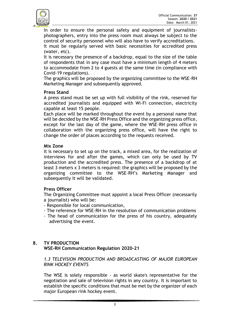

In order to ensure the personal safety and equipment of journalistsphotographers, entry into the press room must always be subject to the control of security personnel who will also have to verify accreditations.

It must be regularly served with basic necessities for accredited press (water, etc).

It is necessary the presence of a backdrop, equal to the size of the table of respondents that in any case must have a minimum length of 4 meters to accommodate from 2 to 4 guests at the same time (in compliance with Covid-19 regulations).

The graphics will be proposed by the organizing committee to the WSE-RH Marketing Manager and subsequently approved.

#### **Press Stand**

A press stand must be set up with full visibility of the rink, reserved for accredited journalists and equipped with Wi-Fi connection, electricity capable at least 15 people.

Each place will be marked throughout the event by a personal name that will be decided by the WSE-RH Press Office and the organizing press office, except for the last day of the game, where the WSE-RH press office in collaboration with the organizing press office, will have the right to change the order of places according to the requests received.

#### **Mix Zone**

It is necessary to set up on the track, a mixed area, for the realization of interviews for and after the games, which can only be used by TV production and the accredited press. The presence of a backdrop of at least 3 meters x 3 meters is required: the graphics will be proposed by the organizing committee to the WSE-RH's Marketing Manager and subsequently it will be validated.

## **Press Officer**

The Organizing Committee must appoint a local Press Officer (necessarily a journalist) who will be:

- Responsible for local communication,
- The reference for WSE-RH in the resolution of communication problems
- The head of communication for the press of his country, adequately advertising the event.

# **8. TV PRODUCTION WSE-RH Communication Regulation 2020-21**

## *1.3 TELEVISION PRODUCTION AND BROADCASTING OF MAJOR EUROPEAN RINK HOCKEY EVENTS*

The WSE is solely responsible - as world skate's representative for the negotiation and sale of television rights in any country. It is important to establish the specific conditions that must be met by the organizer of each major European rink hockey event.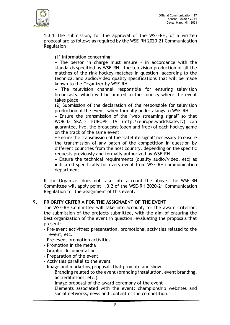

1.3.1 The submission, for the approval of the WSE-RH, of a written proposal are as follows as required by the WSE-RH 2020-21 Communication Regulation

(1) Information concerning:

• The person in charge must ensure – in accordance with the standards specified by WSE-RH – the television production of all the matches of the rink hockey matches in question, according to the technical and audio/video quality specifications that will be made known to the Organizer by WSE-RH

• The television channel responsible for ensuring television broadcasts, which will be limited to the country where the event takes place

(2) Submission of the declaration of the responsible for television production of the event, when formally undertakings to WSE-RH:

• Ensure the transmission of the "web streaming signal" so that WORLD SKATE EUROPE TV (http://europe.worldskate.tv) can guarantee, live, the broadcast (open and free) of each hockey game on the track of the same event.

• Ensure the transmission of the "satellite signal" necessary to ensure the transmission of any batch of the competition in question by different countries from the host country, depending on the specific requests previously and formally authorized by WSE-RH.

• Ensure the technical requirements (quality audio/video, etc) as indicated specifically for every event from WSE-RH communication department

If the Organizer does not take into account the above, the WSE-RH Committee will apply point 1.3.2 of the WSE-RH 2020-21 Communication Regulation for the assignment of this event.

## **9. PRIORITY CRITERIA FOR THE ASSIGNMENT OF THE EVENT**

The WSE-RH Committee will take into account, for the award criterion, the submission of the projects submitted, with the aim of ensuring the best organization of the event in question, evaluating the proposals that present:

- Pre-event activities: presentation, promotional activities related to the event, etc.
- Pre-event promotion activities
- Promotion in the media
- Graphic documentation
- Preparation of the event
- Activities parallel to the event
- Image and marketing proposals that promote and show

Branding related to the event (branding installation, event branding, accreditations, etc.)

Image proposal of the award ceremony of the event

Elements associated with the event: championship websites and social networks, news and content of the competition.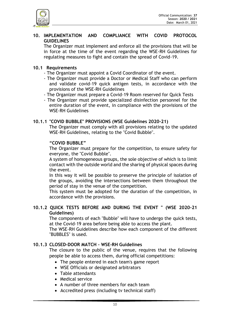

#### **10. IMPLEMENTATION AND COMPLIANCE WITH COVID PROTOCOL GUIDELINES**

The Organizer must implement and enforce all the provisions that will be in force at the time of the event regarding the WSE-RH Guidelines for regulating measures to fight and contain the spread of Covid-19.

## **10.1 Requirements**

- The Organizer must appoint a Covid Coordinator of the event.
- The Organizer must provide a Doctor or Medical Staff who can perform and validate covid-19 quick antigen tests, in accordance with the provisions of the WSE-RH Guidelines
- The Organizer must prepare a Covid-19 Room reserved for Quick Tests
- The Organizer must provide specialized disinfection personnel for the entire duration of the event, in compliance with the provisions of the WSE-RH Guidelines

# **10.1.1 "COVID BUBBLE" PROVISIONS (WSE Guidelines 2020-21)**

The Organizer must comply with all provisions relating to the updated WSE-RH Guidelines, relating to the "Covid Bubble".

## **"COVID BUBBLE"**

The Organizer must prepare for the competition, to ensure safety for everyone, the "Covid Bubble".

A system of homogeneous groups, the sole objective of which is to limit contact with the outside world and the sharing of physical spaces during the event.

In this way it will be possible to preserve the principle of isolation of the groups, avoiding the intersections between them throughout the period of stay in the venue of the competition.

This system must be adopted for the duration of the competition, in accordance with the provisions.

#### **10.1.2 QUICK TESTS BEFORE AND DURING THE EVENT " (WSE 2020-21 Guidelines)**

The components of each "Bubble" will have to undergo the quick tests, at the Covid-19 area before being able to access the plant.

The WSE-RH Guidelines describe how each component of the different "BUBBLES" is used.

## **10.1.3 CLOSED-DOOR MATCH – WSE-RH Guidelines**

The closure to the public of the venue, requires that the following people be able to access them, during official competitions:

- The people entered in each team's game report
- WSE Officials or designated arbitrators
- Table attendants
- Medical service
- A number of three members for each team
- Accredited press (including tv technical staff)